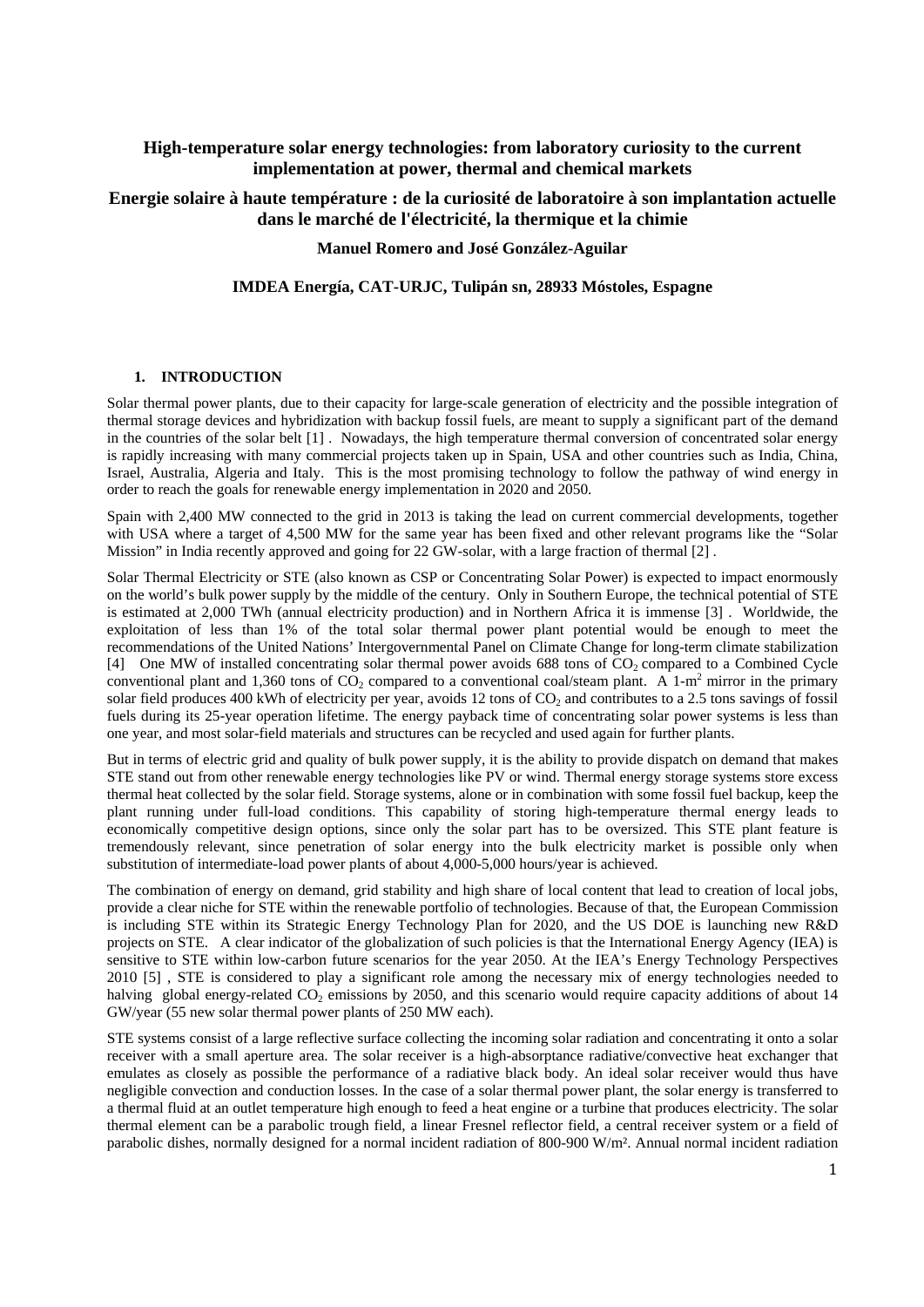# **High-temperature solar energy technologies: from laboratory curiosity to the current implementation at power, thermal and chemical markets**

# **Energie solaire à haute température : de la curiosité de laboratoire à son implantation actuelle dans le marché de l'électricité, la thermique et la chimie**

### **Manuel Romero and José González-Aguilar**

### **IMDEA Energía, CAT-URJC, Tulipán sn, 28933 Móstoles, Espagne**

### **1. INTRODUCTION**

Solar thermal power plants, due to their capacity for large-scale generation of electricity and the possible integration of thermal storage devices and hybridization with backup fossil fuels, are meant to supply a significant part of the demand in the countries of the solar belt [1] . Nowadays, the high temperature thermal conversion of concentrated solar energy is rapidly increasing with many commercial projects taken up in Spain, USA and other countries such as India, China, Israel, Australia, Algeria and Italy. This is the most promising technology to follow the pathway of wind energy in order to reach the goals for renewable energy implementation in 2020 and 2050.

Spain with 2,400 MW connected to the grid in 2013 is taking the lead on current commercial developments, together with USA where a target of 4,500 MW for the same year has been fixed and other relevant programs like the "Solar Mission" in India recently approved and going for 22 GW-solar, with a large fraction of thermal [2] .

Solar Thermal Electricity or STE (also known as CSP or Concentrating Solar Power) is expected to impact enormously on the world's bulk power supply by the middle of the century. Only in Southern Europe, the technical potential of STE is estimated at 2,000 TWh (annual electricity production) and in Northern Africa it is immense [3] . Worldwide, the exploitation of less than 1% of the total solar thermal power plant potential would be enough to meet the recommendations of the United Nations' Intergovernmental Panel on Climate Change for long-term climate stabilization [4] One MW of installed concentrating solar thermal power avoids 688 tons of  $CO<sub>2</sub>$  compared to a Combined Cycle conventional plant and 1,360 tons of  $CO_2$  compared to a conventional coal/steam plant. A 1-m<sup>2</sup> mirror in the primary solar field produces 400 kWh of electricity per year, avoids 12 tons of CO<sub>2</sub> and contributes to a 2.5 tons savings of fossil fuels during its 25-year operation lifetime. The energy payback time of concentrating solar power systems is less than one year, and most solar-field materials and structures can be recycled and used again for further plants.

But in terms of electric grid and quality of bulk power supply, it is the ability to provide dispatch on demand that makes STE stand out from other renewable energy technologies like PV or wind. Thermal energy storage systems store excess thermal heat collected by the solar field. Storage systems, alone or in combination with some fossil fuel backup, keep the plant running under full-load conditions. This capability of storing high-temperature thermal energy leads to economically competitive design options, since only the solar part has to be oversized. This STE plant feature is tremendously relevant, since penetration of solar energy into the bulk electricity market is possible only when substitution of intermediate-load power plants of about 4,000-5,000 hours/year is achieved.

The combination of energy on demand, grid stability and high share of local content that lead to creation of local jobs, provide a clear niche for STE within the renewable portfolio of technologies. Because of that, the European Commission is including STE within its Strategic Energy Technology Plan for 2020, and the US DOE is launching new R&D projects on STE. A clear indicator of the globalization of such policies is that the International Energy Agency (IEA) is sensitive to STE within low-carbon future scenarios for the year 2050. At the IEA's Energy Technology Perspectives 2010 [5] , STE is considered to play a significant role among the necessary mix of energy technologies needed to halving global energy-related  $CO<sub>2</sub>$  emissions by 2050, and this scenario would require capacity additions of about 14 GW/year (55 new solar thermal power plants of 250 MW each).

STE systems consist of a large reflective surface collecting the incoming solar radiation and concentrating it onto a solar receiver with a small aperture area. The solar receiver is a high-absorptance radiative/convective heat exchanger that emulates as closely as possible the performance of a radiative black body. An ideal solar receiver would thus have negligible convection and conduction losses. In the case of a solar thermal power plant, the solar energy is transferred to a thermal fluid at an outlet temperature high enough to feed a heat engine or a turbine that produces electricity. The solar thermal element can be a parabolic trough field, a linear Fresnel reflector field, a central receiver system or a field of parabolic dishes, normally designed for a normal incident radiation of 800-900 W/m². Annual normal incident radiation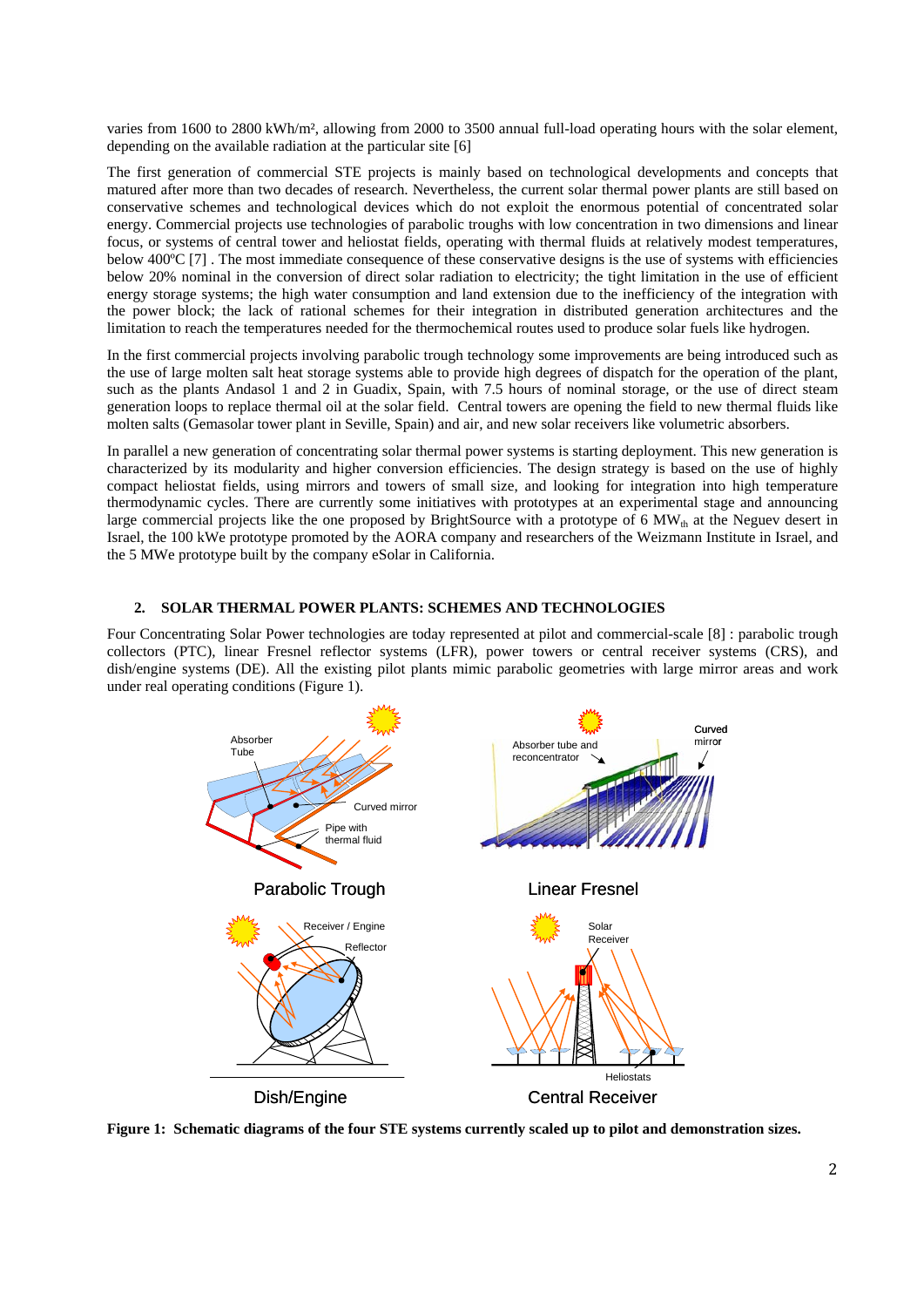varies from 1600 to 2800 kWh/m², allowing from 2000 to 3500 annual full-load operating hours with the solar element, depending on the available radiation at the particular site [6]

The first generation of commercial STE projects is mainly based on technological developments and concepts that matured after more than two decades of research. Nevertheless, the current solar thermal power plants are still based on conservative schemes and technological devices which do not exploit the enormous potential of concentrated solar energy. Commercial projects use technologies of parabolic troughs with low concentration in two dimensions and linear focus, or systems of central tower and heliostat fields, operating with thermal fluids at relatively modest temperatures, below 400ºC [7] . The most immediate consequence of these conservative designs is the use of systems with efficiencies below 20% nominal in the conversion of direct solar radiation to electricity; the tight limitation in the use of efficient energy storage systems; the high water consumption and land extension due to the inefficiency of the integration with the power block; the lack of rational schemes for their integration in distributed generation architectures and the limitation to reach the temperatures needed for the thermochemical routes used to produce solar fuels like hydrogen.

In the first commercial projects involving parabolic trough technology some improvements are being introduced such as the use of large molten salt heat storage systems able to provide high degrees of dispatch for the operation of the plant, such as the plants Andasol 1 and 2 in Guadix, Spain, with 7.5 hours of nominal storage, or the use of direct steam generation loops to replace thermal oil at the solar field. Central towers are opening the field to new thermal fluids like molten salts (Gemasolar tower plant in Seville, Spain) and air, and new solar receivers like volumetric absorbers.

In parallel a new generation of concentrating solar thermal power systems is starting deployment. This new generation is characterized by its modularity and higher conversion efficiencies. The design strategy is based on the use of highly compact heliostat fields, using mirrors and towers of small size, and looking for integration into high temperature thermodynamic cycles. There are currently some initiatives with prototypes at an experimental stage and announcing large commercial projects like the one proposed by BrightSource with a prototype of 6 MW<sub>th</sub> at the Neguev desert in Israel, the 100 kWe prototype promoted by the AORA company and researchers of the Weizmann Institute in Israel, and the 5 MWe prototype built by the company eSolar in California.

### **2. SOLAR THERMAL POWER PLANTS: SCHEMES AND TECHNOLOGIES**

Four Concentrating Solar Power technologies are today represented at pilot and commercial-scale [8] : parabolic trough collectors (PTC), linear Fresnel reflector systems (LFR), power towers or central receiver systems (CRS), and dish/engine systems (DE). All the existing pilot plants mimic parabolic geometries with large mirror areas and work under real operating conditions (Figure 1).



**Figure 1: Schematic diagrams of the four STE systems currently scaled up to pilot and demonstration sizes.**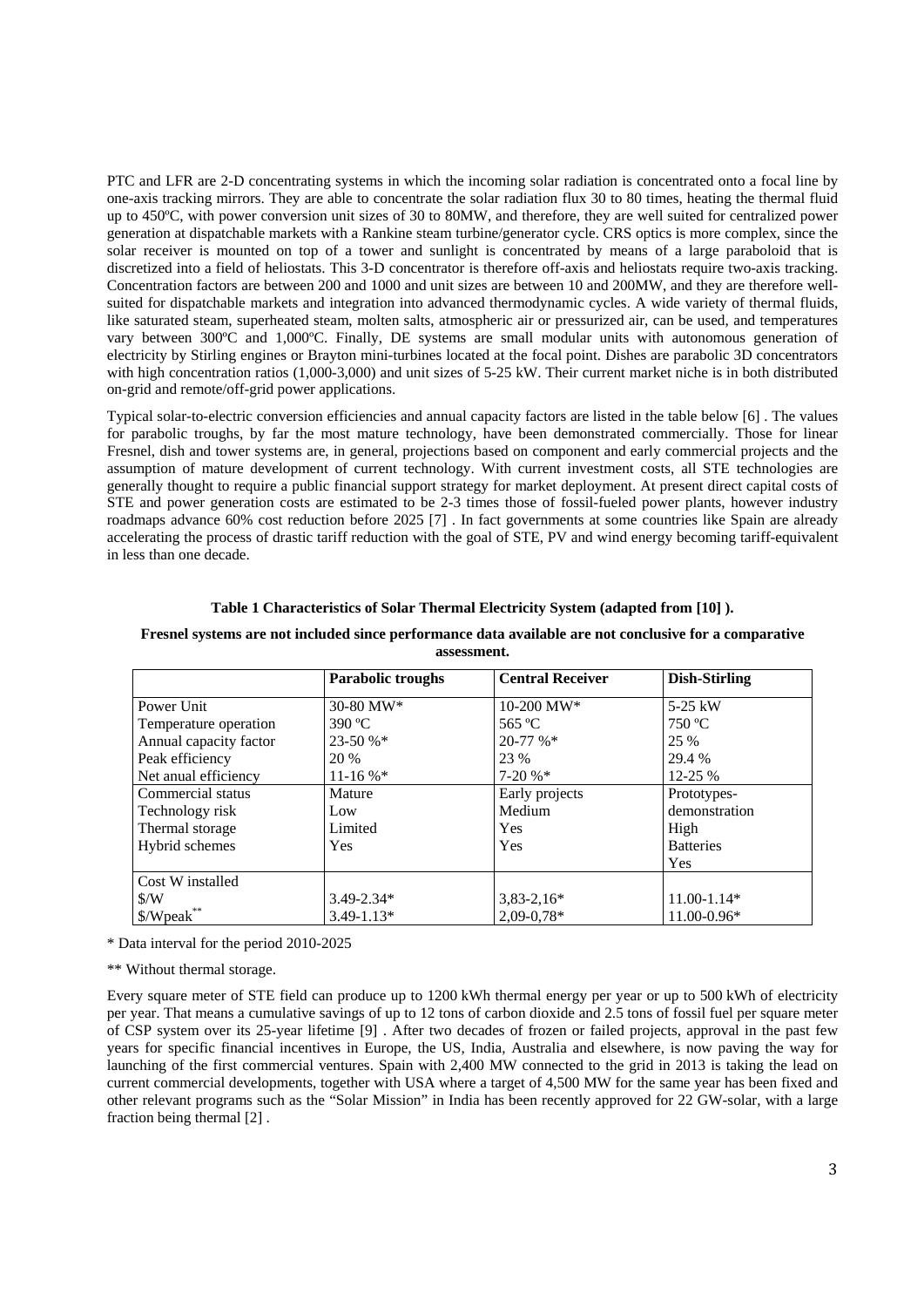PTC and LFR are 2-D concentrating systems in which the incoming solar radiation is concentrated onto a focal line by one-axis tracking mirrors. They are able to concentrate the solar radiation flux 30 to 80 times, heating the thermal fluid up to 450ºC, with power conversion unit sizes of 30 to 80MW, and therefore, they are well suited for centralized power generation at dispatchable markets with a Rankine steam turbine/generator cycle. CRS optics is more complex, since the solar receiver is mounted on top of a tower and sunlight is concentrated by means of a large paraboloid that is discretized into a field of heliostats. This 3-D concentrator is therefore off-axis and heliostats require two-axis tracking. Concentration factors are between 200 and 1000 and unit sizes are between 10 and 200MW, and they are therefore wellsuited for dispatchable markets and integration into advanced thermodynamic cycles. A wide variety of thermal fluids, like saturated steam, superheated steam, molten salts, atmospheric air or pressurized air, can be used, and temperatures vary between 300ºC and 1,000ºC. Finally, DE systems are small modular units with autonomous generation of electricity by Stirling engines or Brayton mini-turbines located at the focal point. Dishes are parabolic 3D concentrators with high concentration ratios (1,000-3,000) and unit sizes of 5-25 kW. Their current market niche is in both distributed on-grid and remote/off-grid power applications.

Typical solar-to-electric conversion efficiencies and annual capacity factors are listed in the table below [6] . The values for parabolic troughs, by far the most mature technology, have been demonstrated commercially. Those for linear Fresnel, dish and tower systems are, in general, projections based on component and early commercial projects and the assumption of mature development of current technology. With current investment costs, all STE technologies are generally thought to require a public financial support strategy for market deployment. At present direct capital costs of STE and power generation costs are estimated to be 2-3 times those of fossil-fueled power plants, however industry roadmaps advance 60% cost reduction before 2025 [7] . In fact governments at some countries like Spain are already accelerating the process of drastic tariff reduction with the goal of STE, PV and wind energy becoming tariff-equivalent in less than one decade.

|                             | Parabolic troughs | <b>Central Receiver</b> | Dish-Stirling    |
|-----------------------------|-------------------|-------------------------|------------------|
| Power Unit                  | 30-80 MW*         | $10-200$ MW*            | $5-25$ kW        |
| Temperature operation       | 390 °C            | 565 °C                  | 750 °C           |
| Annual capacity factor      | $23 - 50%$        | 20-77 %*                | 25 %             |
| Peak efficiency             | 20 %              | 23 %                    | 29.4 %           |
| Net anual efficiency        | $11-16%$          | $7-20%$                 | $12 - 25%$       |
| Commercial status           | Mature            | Early projects          | Prototypes-      |
| Technology risk             | Low               | Medium                  | demonstration    |
| Thermal storage             | Limited           | Yes                     | High             |
| Hybrid schemes              | Yes               | Yes                     | <b>Batteries</b> |
|                             |                   |                         | Yes              |
| Cost W installed            |                   |                         |                  |
| $\frac{\text{S}}{\text{W}}$ | $3.49 - 2.34*$    | $3,83-2,16*$            | $11.00 - 1.14*$  |
| \$/Wpeak**                  | $3.49 - 1.13*$    | $2,09-0,78*$            | $11.00 - 0.96*$  |

### **Table 1 Characteristics of Solar Thermal Electricity System (adapted from [10] ).**

# **Fresnel systems are not included since performance data available are not conclusive for a comparative**

**assessment.** 

\* Data interval for the period 2010-2025

\*\* Without thermal storage.

Every square meter of STE field can produce up to 1200 kWh thermal energy per year or up to 500 kWh of electricity per year. That means a cumulative savings of up to 12 tons of carbon dioxide and 2.5 tons of fossil fuel per square meter of CSP system over its 25-year lifetime [9] . After two decades of frozen or failed projects, approval in the past few years for specific financial incentives in Europe, the US, India, Australia and elsewhere, is now paving the way for launching of the first commercial ventures. Spain with 2,400 MW connected to the grid in 2013 is taking the lead on current commercial developments, together with USA where a target of 4,500 MW for the same year has been fixed and other relevant programs such as the "Solar Mission" in India has been recently approved for 22 GW-solar, with a large fraction being thermal [2] .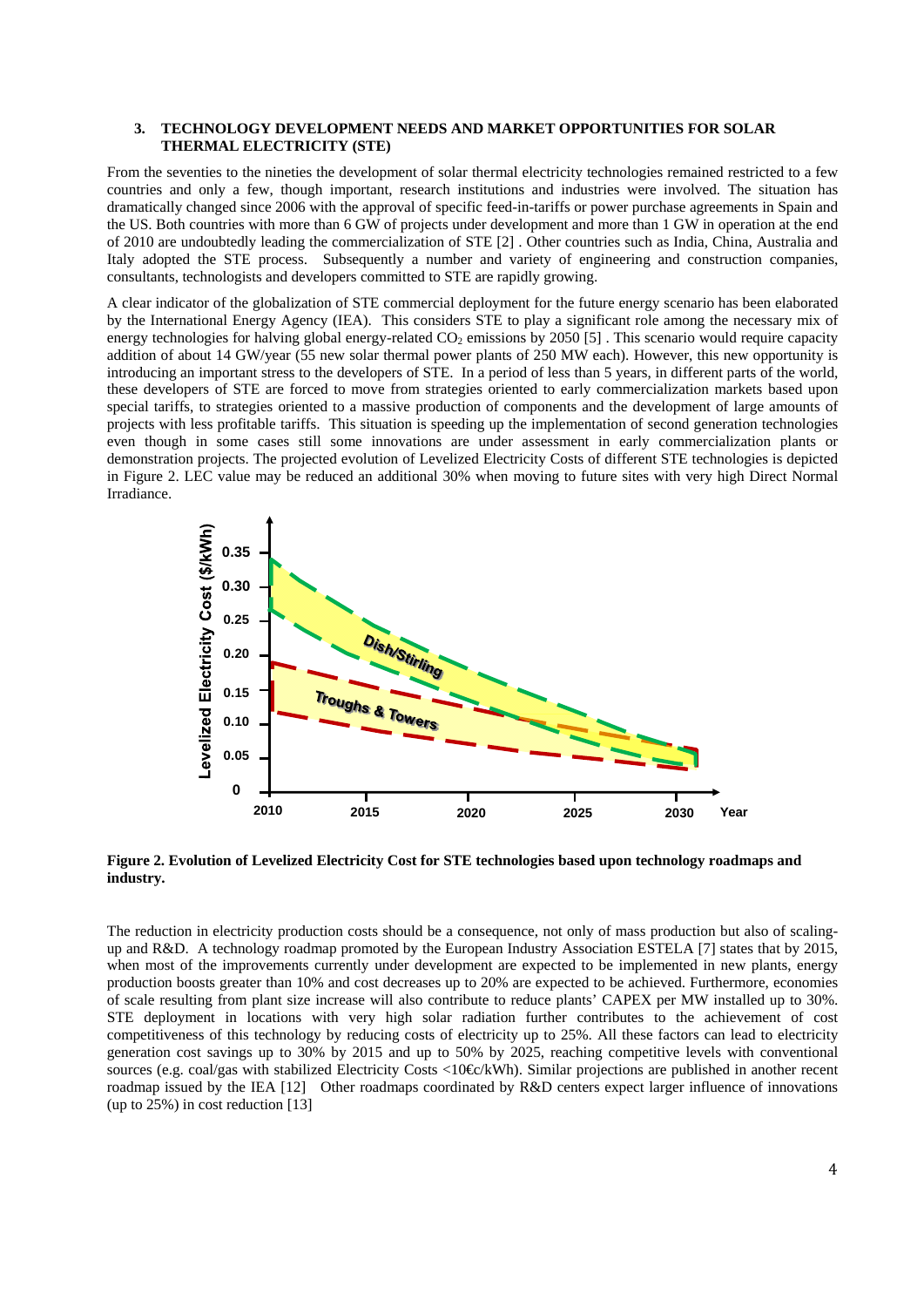### **3. TECHNOLOGY DEVELOPMENT NEEDS AND MARKET OPPORTUNITIES FOR SOLAR THERMAL ELECTRICITY (STE)**

From the seventies to the nineties the development of solar thermal electricity technologies remained restricted to a few countries and only a few, though important, research institutions and industries were involved. The situation has dramatically changed since 2006 with the approval of specific feed-in-tariffs or power purchase agreements in Spain and the US. Both countries with more than 6 GW of projects under development and more than 1 GW in operation at the end of 2010 are undoubtedly leading the commercialization of STE [2] . Other countries such as India, China, Australia and Italy adopted the STE process. Subsequently a number and variety of engineering and construction companies, consultants, technologists and developers committed to STE are rapidly growing.

A clear indicator of the globalization of STE commercial deployment for the future energy scenario has been elaborated by the International Energy Agency (IEA). This considers STE to play a significant role among the necessary mix of energy technologies for halving global energy-related  $CO<sub>2</sub>$  emissions by 2050 [5]. This scenario would require capacity addition of about 14 GW/year (55 new solar thermal power plants of 250 MW each). However, this new opportunity is introducing an important stress to the developers of STE. In a period of less than 5 years, in different parts of the world, these developers of STE are forced to move from strategies oriented to early commercialization markets based upon special tariffs, to strategies oriented to a massive production of components and the development of large amounts of projects with less profitable tariffs. This situation is speeding up the implementation of second generation technologies even though in some cases still some innovations are under assessment in early commercialization plants or demonstration projects. The projected evolution of Levelized Electricity Costs of different STE technologies is depicted in Figure 2. LEC value may be reduced an additional 30% when moving to future sites with very high Direct Normal Irradiance.



**Figure 2. Evolution of Levelized Electricity Cost for STE technologies based upon technology roadmaps and industry.** 

The reduction in electricity production costs should be a consequence, not only of mass production but also of scalingup and R&D. A technology roadmap promoted by the European Industry Association ESTELA [7] states that by 2015, when most of the improvements currently under development are expected to be implemented in new plants, energy production boosts greater than 10% and cost decreases up to 20% are expected to be achieved. Furthermore, economies of scale resulting from plant size increase will also contribute to reduce plants' CAPEX per MW installed up to 30%. STE deployment in locations with very high solar radiation further contributes to the achievement of cost competitiveness of this technology by reducing costs of electricity up to 25%. All these factors can lead to electricity generation cost savings up to 30% by 2015 and up to 50% by 2025, reaching competitive levels with conventional sources (e.g. coal/gas with stabilized Electricity Costs <10 $\&$ /kWh). Similar projections are published in another recent roadmap issued by the IEA [12] Other roadmaps coordinated by R&D centers expect larger influence of innovations (up to  $25\%$ ) in cost reduction [13]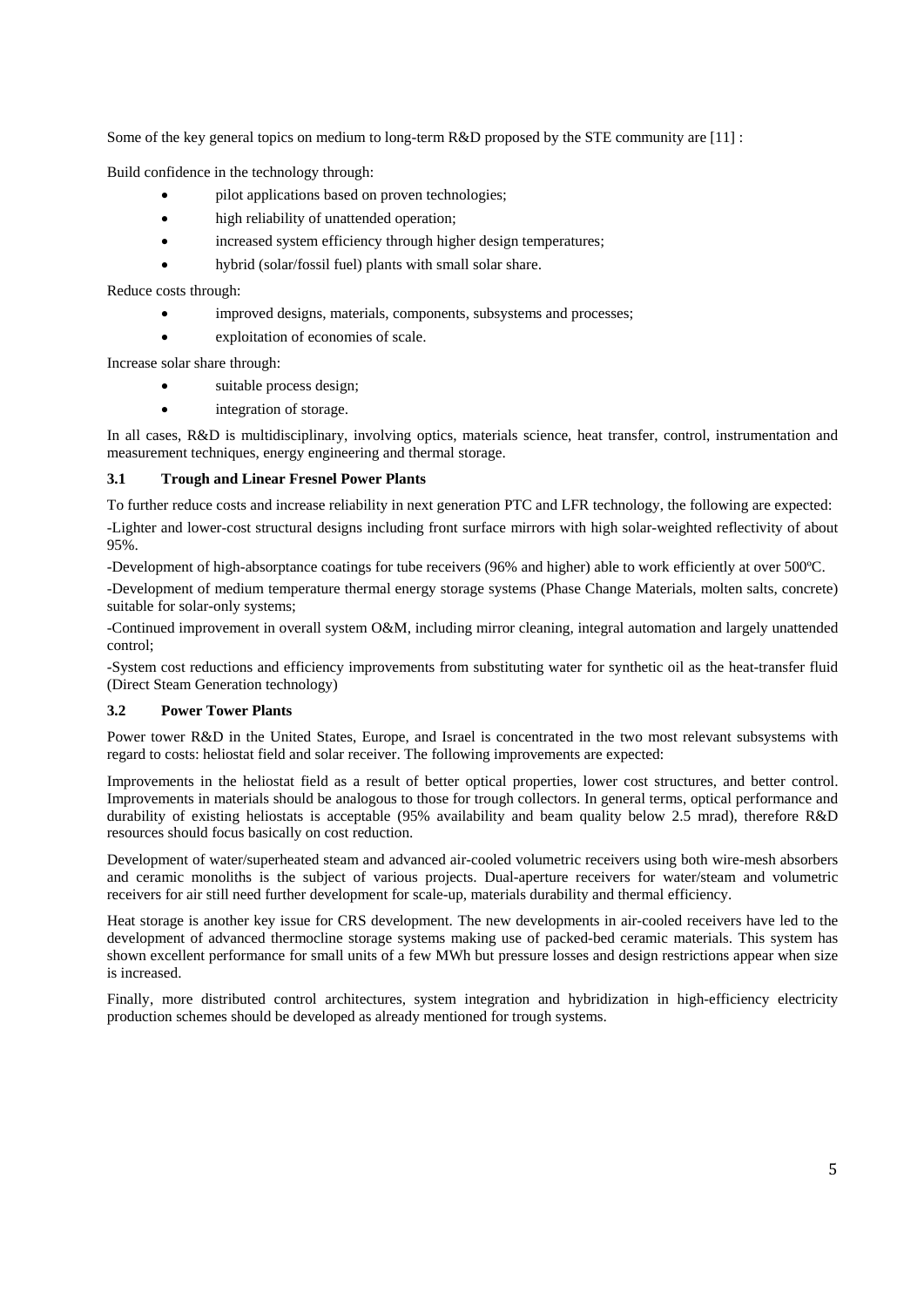Some of the key general topics on medium to long-term R&D proposed by the STE community are [11] :

Build confidence in the technology through:

- pilot applications based on proven technologies;
- high reliability of unattended operation;
- increased system efficiency through higher design temperatures;
- hybrid (solar/fossil fuel) plants with small solar share.

Reduce costs through:

- improved designs, materials, components, subsystems and processes;
- exploitation of economies of scale.

Increase solar share through:

- suitable process design;
- integration of storage.

In all cases, R&D is multidisciplinary, involving optics, materials science, heat transfer, control, instrumentation and measurement techniques, energy engineering and thermal storage.

## **3.1 Trough and Linear Fresnel Power Plants**

To further reduce costs and increase reliability in next generation PTC and LFR technology, the following are expected: -Lighter and lower-cost structural designs including front surface mirrors with high solar-weighted reflectivity of about 95%.

-Development of high-absorptance coatings for tube receivers (96% and higher) able to work efficiently at over 500ºC.

-Development of medium temperature thermal energy storage systems (Phase Change Materials, molten salts, concrete) suitable for solar-only systems;

-Continued improvement in overall system O&M, including mirror cleaning, integral automation and largely unattended control;

-System cost reductions and efficiency improvements from substituting water for synthetic oil as the heat-transfer fluid (Direct Steam Generation technology)

## **3.2 Power Tower Plants**

Power tower R&D in the United States, Europe, and Israel is concentrated in the two most relevant subsystems with regard to costs: heliostat field and solar receiver. The following improvements are expected:

Improvements in the heliostat field as a result of better optical properties, lower cost structures, and better control. Improvements in materials should be analogous to those for trough collectors. In general terms, optical performance and durability of existing heliostats is acceptable (95% availability and beam quality below 2.5 mrad), therefore R&D resources should focus basically on cost reduction.

Development of water/superheated steam and advanced air-cooled volumetric receivers using both wire-mesh absorbers and ceramic monoliths is the subject of various projects. Dual-aperture receivers for water/steam and volumetric receivers for air still need further development for scale-up, materials durability and thermal efficiency.

Heat storage is another key issue for CRS development. The new developments in air-cooled receivers have led to the development of advanced thermocline storage systems making use of packed-bed ceramic materials. This system has shown excellent performance for small units of a few MWh but pressure losses and design restrictions appear when size is increased.

Finally, more distributed control architectures, system integration and hybridization in high-efficiency electricity production schemes should be developed as already mentioned for trough systems.